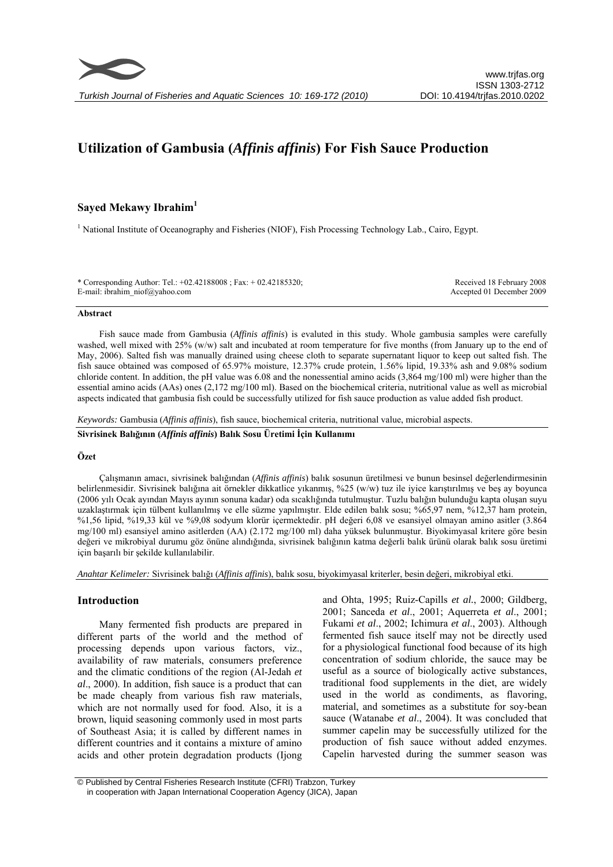# **Utilization of Gambusia (***Affinis affinis***) For Fish Sauce Production**

# **Sayed Mekawy Ibrahim1**

<sup>1</sup> National Institute of Oceanography and Fisheries (NIOF), Fish Processing Technology Lab., Cairo, Egypt.

| * Corresponding Author: Tel.: $+02.42188008$ ; Fax: $+02.42185320$ ; |  |
|----------------------------------------------------------------------|--|
| E-mail: ibrahim $niof(a)$ yahoo.com                                  |  |

Received 18 February 2008 Accepted 01 December 2009

#### **Abstract**

Fish sauce made from Gambusia (*Affinis affinis*) is evaluted in this study. Whole gambusia samples were carefully washed, well mixed with 25% (w/w) salt and incubated at room temperature for five months (from January up to the end of May, 2006). Salted fish was manually drained using cheese cloth to separate supernatant liquor to keep out salted fish. The fish sauce obtained was composed of 65.97% moisture, 12.37% crude protein, 1.56% lipid, 19.33% ash and 9.08% sodium chloride content. In addition, the pH value was 6.08 and the nonessential amino acids (3,864 mg/100 ml) were higher than the essential amino acids (AAs) ones (2,172 mg/100 ml). Based on the biochemical criteria, nutritional value as well as microbial aspects indicated that gambusia fish could be successfully utilized for fish sauce production as value added fish product.

*Keywords:* Gambusia (*Affinis affinis*), fish sauce, biochemical criteria, nutritional value, microbial aspects.

**Sivrisinek Balığının (***Affinis affinis***) Balık Sosu Üretimi İçin Kullanımı** 

### **Özet**

Çalışmanın amacı, sivrisinek balığından (*Affinis affinis*) balık sosunun üretilmesi ve bunun besinsel değerlendirmesinin belirlenmesidir. Sivrisinek balığına ait örnekler dikkatlice yıkanmış, %25 (w/w) tuz ile iyice karıştırılmış ve beş ay boyunca (2006 yılı Ocak ayından Mayıs ayının sonuna kadar) oda sıcaklığında tutulmuştur. Tuzlu balığın bulunduğu kapta oluşan suyu uzaklaştırmak için tülbent kullanılmış ve elle süzme yapılmıştır. Elde edilen balık sosu; %65,97 nem, %12,37 ham protein, %1,56 lipid, %19,33 kül ve %9,08 sodyum klorür içermektedir. pH değeri 6,08 ve esansiyel olmayan amino asitler (3.864 mg/100 ml) esansiyel amino asitlerden (AA) (2.172 mg/100 ml) daha yüksek bulunmuştur. Biyokimyasal kritere göre besin değeri ve mikrobiyal durumu göz önüne alındığında, sivrisinek balığının katma değerli balık ürünü olarak balık sosu üretimi için başarılı bir şekilde kullanılabilir.

*Anahtar Kelimeler:* Sivrisinek balığı (*Affinis affinis*), balık sosu, biyokimyasal kriterler, besin değeri, mikrobiyal etki.

# **Introduction**

Many fermented fish products are prepared in different parts of the world and the method of processing depends upon various factors, viz., availability of raw materials, consumers preference and the climatic conditions of the region (Al-Jedah *et al*., 2000). In addition, fish sauce is a product that can be made cheaply from various fish raw materials, which are not normally used for food. Also, it is a brown, liquid seasoning commonly used in most parts of Southeast Asia; it is called by different names in different countries and it contains a mixture of amino acids and other protein degradation products (Ijong and Ohta, 1995; Ruiz-Capills *et al.*, 2000; Gildberg, 2001; Sanceda *et al*., 2001; Aquerreta *et al*., 2001; Fukami *et al*., 2002; Ichimura *et al*., 2003). Although fermented fish sauce itself may not be directly used for a physiological functional food because of its high concentration of sodium chloride, the sauce may be useful as a source of biologically active substances, traditional food supplements in the diet, are widely used in the world as condiments, as flavoring, material, and sometimes as a substitute for soy-bean sauce (Watanabe *et al*., 2004). It was concluded that summer capelin may be successfully utilized for the production of fish sauce without added enzymes. Capelin harvested during the summer season was

 <sup>©</sup> Published by Central Fisheries Research Institute (CFRI) Trabzon, Turkey in cooperation with Japan International Cooperation Agency (JICA), Japan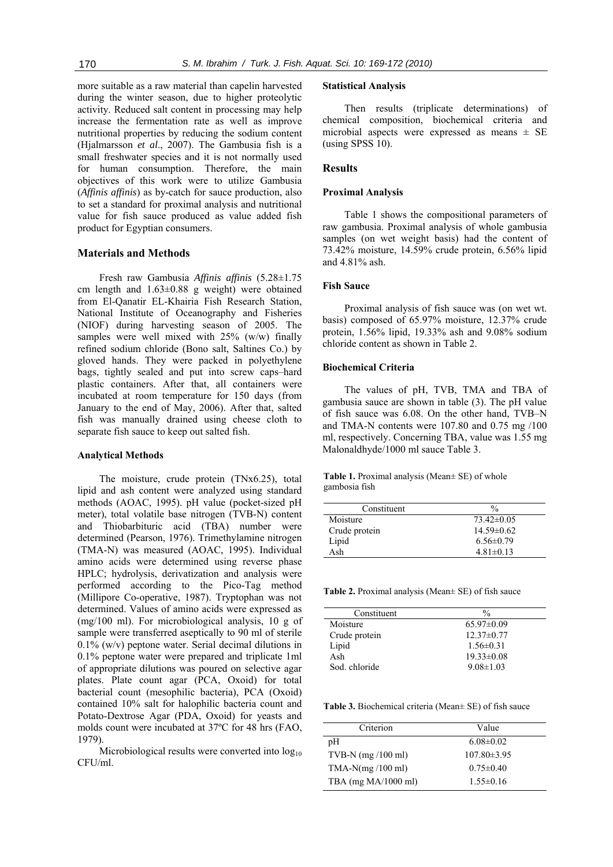more suitable as a raw material than capelin harvested during the winter season, due to higher proteolytic activity. Reduced salt content in processing may help increase the fermentation rate as well as improve nutritional properties by reducing the sodium content (Hjalmarsson *et al*., 2007). The Gambusia fish is a small freshwater species and it is not normally used for human consumption. Therefore, the main objectives of this work were to utilize Gambusia (*Affinis affinis*) as by-catch for sauce production, also to set a standard for proximal analysis and nutritional value for fish sauce produced as value added fish product for Egyptian consumers.

## **Materials and Methods**

Fresh raw Gambusia *Affinis affinis* (5.28±1.75 cm length and 1.63±0.88 g weight) were obtained from El-Qanatir EL-Khairia Fish Research Station, National Institute of Oceanography and Fisheries (NIOF) during harvesting season of 2005. The samples were well mixed with 25% (w/w) finally refined sodium chloride (Bono salt, Saltines Co.) by gloved hands. They were packed in polyethylene bags, tightly sealed and put into screw caps–hard plastic containers. After that, all containers were incubated at room temperature for 150 days (from January to the end of May, 2006). After that, salted fish was manually drained using cheese cloth to separate fish sauce to keep out salted fish.

## **Analytical Methods**

The moisture, crude protein (TNx6.25), total lipid and ash content were analyzed using standard methods (AOAC, 1995). pH value (pocket-sized pH meter), total volatile base nitrogen (TVB-N) content and Thiobarbituric acid (TBA) number were determined (Pearson, 1976). Trimethylamine nitrogen (TMA-N) was measured (AOAC, 1995). Individual amino acids were determined using reverse phase HPLC; hydrolysis, derivatization and analysis were performed according to the Pico-Tag method (Millipore Co-operative, 1987). Tryptophan was not determined. Values of amino acids were expressed as (mg/100 ml). For microbiological analysis, 10 g of sample were transferred aseptically to 90 ml of sterile 0.1% (w/v) peptone water. Serial decimal dilutions in 0.1% peptone water were prepared and triplicate 1ml of appropriate dilutions was poured on selective agar plates. Plate count agar (PCA, Oxoid) for total bacterial count (mesophilic bacteria), PCA (Oxoid) contained 10% salt for halophilic bacteria count and Potato-Dextrose Agar (PDA, Oxoid) for yeasts and molds count were incubated at 37ºC for 48 hrs (FAO, 1979).

Microbiological results were converted into  $log_{10}$ CFU/ml.

#### **Statistical Analysis**

Then results (triplicate determinations) of chemical composition, biochemical criteria and microbial aspects were expressed as means  $\pm$  SE (using SPSS 10).

# **Results**

#### **Proximal Analysis**

Table 1 shows the compositional parameters of raw gambusia. Proximal analysis of whole gambusia samples (on wet weight basis) had the content of 73.42% moisture, 14.59% crude protein, 6.56% lipid and 4.81% ash.

# **Fish Sauce**

Proximal analysis of fish sauce was (on wet wt. basis) composed of 65.97% moisture, 12.37% crude protein, 1.56% lipid, 19.33% ash and 9.08% sodium chloride content as shown in Table 2.

## **Biochemical Criteria**

The values of pH, TVB, TMA and TBA of gambusia sauce are shown in table (3). The pH value of fish sauce was 6.08. On the other hand, TVB–N and TMA-N contents were 107.80 and 0.75 mg /100 ml, respectively. Concerning TBA, value was 1.55 mg Malonaldhyde/1000 ml sauce Table 3.

**Table 1.** Proximal analysis (Mean± SE) of whole gambosia fish

| Constituent   | $\frac{0}{0}$   |
|---------------|-----------------|
| Moisture      | $73.42\pm0.05$  |
| Crude protein | $14.59\pm0.62$  |
| Lipid         | $6.56 \pm 0.79$ |
| Ash           | $4.81 \pm 0.13$ |

**Table 2.** Proximal analysis (Mean± SE) of fish sauce

| Constituent   | $\frac{0}{0}$    |
|---------------|------------------|
| Moisture      | $65.97\pm0.09$   |
| Crude protein | $12.37\pm0.77$   |
| Lipid         | $1.56 \pm 0.31$  |
| Ash           | $19.33 \pm 0.08$ |
| Sod. chloride | $9.08 \pm 1.03$  |

**Table 3.** Biochemical criteria (Mean± SE) of fish sauce

| Criterion             | Value             |
|-----------------------|-------------------|
| pH                    | $6.08 \pm 0.02$   |
| TVB-N $(mg/100 ml)$   | $107.80 \pm 3.95$ |
| $TMA-N(mg/100 ml)$    | $0.75 \pm 0.40$   |
| TBA $(mg MA/1000 ml)$ | $1.55 \pm 0.16$   |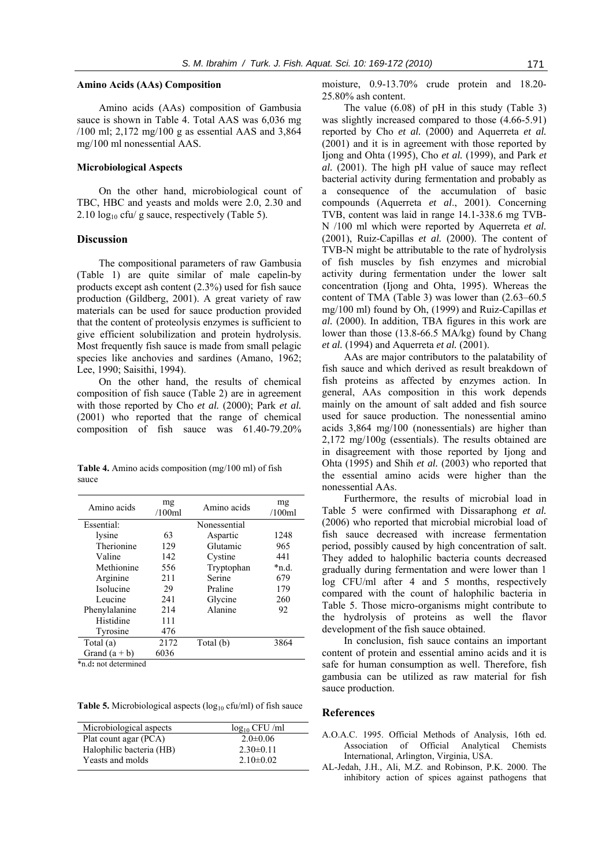## **Amino Acids (AAs) Composition**

Amino acids (AAs) composition of Gambusia sauce is shown in Table 4. Total AAS was 6,036 mg /100 ml; 2,172 mg/100 g as essential AAS and 3,864 mg/100 ml nonessential AAS.

#### **Microbiological Aspects**

On the other hand, microbiological count of TBC, HBC and yeasts and molds were 2.0, 2.30 and 2.10  $log_{10}$  cfu/ g sauce, respectively (Table 5).

#### **Discussion**

The compositional parameters of raw Gambusia (Table 1) are quite similar of male capelin-by products except ash content (2.3%) used for fish sauce production (Gildberg, 2001). A great variety of raw materials can be used for sauce production provided that the content of proteolysis enzymes is sufficient to give efficient solubilization and protein hydrolysis. Most frequently fish sauce is made from small pelagic species like anchovies and sardines (Amano, 1962; Lee, 1990; Saisithi, 1994).

On the other hand, the results of chemical composition of fish sauce (Table 2) are in agreement with those reported by Cho *et al.* (2000); Park *et al.* (2001) who reported that the range of chemical composition of fish sauce was 61.40-79.20%

**Table 4.** Amino acids composition (mg/100 ml) of fish sauce

| Amino acids     | mg<br>/100ml | Amino acids  | mg<br>/100ml |
|-----------------|--------------|--------------|--------------|
| Essential:      |              | Nonessential |              |
| lysine          | 63           | Aspartic     | 1248         |
| Therionine      | 129          | Glutamic     | 965          |
| Valine          | 142          | Cystine      | 441          |
| Methionine      | 556          | Tryptophan   | *n.d.        |
| Arginine        | 211          | Serine       | 679          |
| Isolucine       | 29           | Praline      | 179          |
| Leucine         | 241          | Glycine      | 260          |
| Phenylalanine   | 214          | Alanine      | 92           |
| Histidine       | 111          |              |              |
| Tyrosine        | 476          |              |              |
| Total (a)       | 2172         | Total (b)    | 3864         |
| Grand $(a + b)$ | 6036         |              |              |

\*n.d**:** not determined

**Table 5.** Microbiological aspects (log<sub>10</sub> cfu/ml) of fish sauce

| Microbiological aspects  | $log_{10}$ CFU/ml |
|--------------------------|-------------------|
| Plat count agar (PCA)    | $2.0\pm 0.06$     |
| Halophilic bacteria (HB) | $2.30\pm0.11$     |
| Yeasts and molds         | $2.10\pm0.02$     |
|                          |                   |

moisture, 0.9-13.70% crude protein and 18.20- 25.80% ash content.

The value (6.08) of pH in this study (Table 3) was slightly increased compared to those (4.66-5.91) reported by Cho *et al.* (2000) and Aquerreta *et al.* (2001) and it is in agreement with those reported by Ijong and Ohta (1995), Cho *et al.* (1999), and Park *et al.* (2001). The high pH value of sauce may reflect bacterial activity during fermentation and probably as a consequence of the accumulation of basic compounds (Aquerreta *et al*., 2001). Concerning TVB, content was laid in range 14.1-338.6 mg TVB-N /100 ml which were reported by Aquerreta *et al.* (2001), Ruiz-Capillas *et al.* (2000). The content of TVB-N might be attributable to the rate of hydrolysis of fish muscles by fish enzymes and microbial activity during fermentation under the lower salt concentration (Ijong and Ohta, 1995). Whereas the content of TMA (Table 3) was lower than (2.63–60.5 mg/100 ml) found by Oh, (1999) and Ruiz-Capillas *et al.* (2000). In addition, TBA figures in this work are lower than those (13.8-66.5 MA/kg) found by Chang *et al.* (1994) and Aquerreta *et al.* (2001).

AAs are major contributors to the palatability of fish sauce and which derived as result breakdown of fish proteins as affected by enzymes action. In general, AAs composition in this work depends mainly on the amount of salt added and fish source used for sauce production. The nonessential amino acids 3,864 mg/100 (nonessentials) are higher than 2,172 mg/100g (essentials). The results obtained are in disagreement with those reported by Ijong and Ohta (1995) and Shih *et al.* (2003) who reported that the essential amino acids were higher than the nonessential AAs.

Furthermore, the results of microbial load in Table 5 were confirmed with Dissaraphong *et al.* (2006) who reported that microbial microbial load of fish sauce decreased with increase fermentation period, possibly caused by high concentration of salt. They added to halophilic bacteria counts decreased gradually during fermentation and were lower than 1 log CFU/ml after 4 and 5 months, respectively compared with the count of halophilic bacteria in Table 5. Those micro-organisms might contribute to the hydrolysis of proteins as well the flavor development of the fish sauce obtained.

In conclusion, fish sauce contains an important content of protein and essential amino acids and it is safe for human consumption as well. Therefore, fish gambusia can be utilized as raw material for fish sauce production.

## **References**

- A.O.A.C. 1995. Official Methods of Analysis, 16th ed. Association of Official Analytical Chemists International, Arlington, Virginia, USA.
- AL-Jedah, J.H., Ali, M.Z. and Robinson, P.K. 2000. The inhibitory action of spices against pathogens that